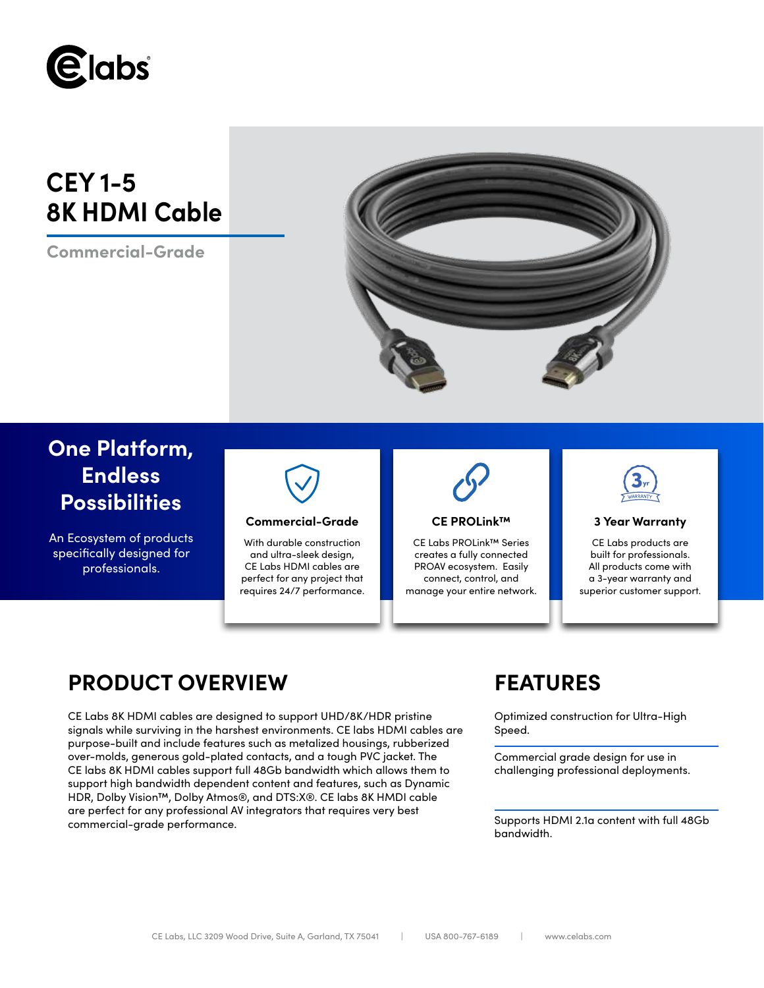

# **CEY 1-5 8K HDMI Cable**

**Commercial-Grade**



# **One Platform, Endless Possibilities**

An Ecosystem of products specifically designed for professionals.



### **Commercial-Grade 3 Year Warranty**

With durable construction and ultra-sleek design, CE Labs HDMI cables are perfect for any project that requires 24/7 performance.



### **CE PROLink™**

CE Labs PROLink™ Series creates a fully connected PROAV ecosystem. Easily connect, control, and manage your entire network.



CE Labs products are built for professionals. All products come with a 3-year warranty and superior customer support.

## **PRODUCT OVERVIEW FEATURES**

CE Labs 8K HDMI cables are designed to support UHD/8K/HDR pristine signals while surviving in the harshest environments. CE labs HDMI cables are purpose-built and include features such as metalized housings, rubberized over-molds, generous gold-plated contacts, and a tough PVC jacket. The CE labs 8K HDMI cables support full 48Gb bandwidth which allows them to support high bandwidth dependent content and features, such as Dynamic HDR, Dolby Vision™, Dolby Atmos®, and DTS:X®. CE labs 8K HMDI cable are perfect for any professional AV integrators that requires very best commercial-grade performance.

Optimized construction for Ultra-High Speed.

Commercial grade design for use in challenging professional deployments.

Supports HDMI 2.1a content with full 48Gb bandwidth.